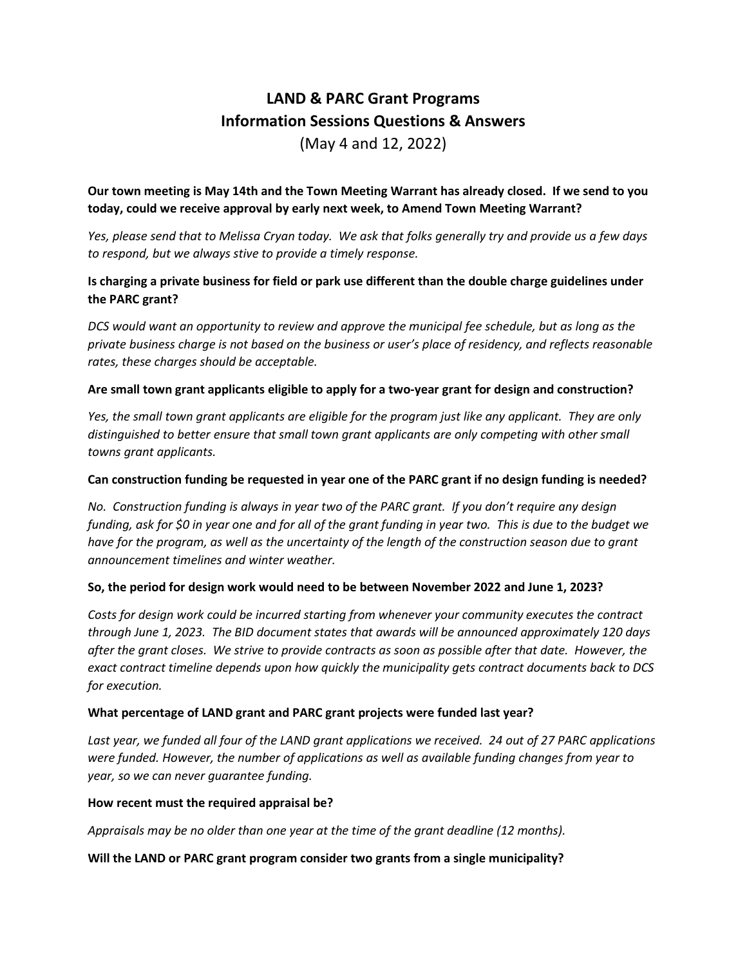# **LAND & PARC Grant Programs Information Sessions Questions & Answers** (May 4 and 12, 2022)

## **Our town meeting is May 14th and the Town Meeting Warrant has already closed. If we send to you today, could we receive approval by early next week, to Amend Town Meeting Warrant?**

*Yes, please send that to Melissa Cryan today. We ask that folks generally try and provide us a few days to respond, but we always stive to provide a timely response.* 

# **Is charging a private business for field or park use different than the double charge guidelines under the PARC grant?**

*DCS would want an opportunity to review and approve the municipal fee schedule, but as long as the private business charge is not based on the business or user's place of residency, and reflects reasonable rates, these charges should be acceptable.*

## **Are small town grant applicants eligible to apply for a two-year grant for design and construction?**

*Yes, the small town grant applicants are eligible for the program just like any applicant. They are only distinguished to better ensure that small town grant applicants are only competing with other small towns grant applicants.*

## **Can construction funding be requested in year one of the PARC grant if no design funding is needed?**

*No. Construction funding is always in year two of the PARC grant. If you don't require any design funding, ask for \$0 in year one and for all of the grant funding in year two. This is due to the budget we have for the program, as well as the uncertainty of the length of the construction season due to grant announcement timelines and winter weather.*

## **So, the period for design work would need to be between November 2022 and June 1, 2023?**

*Costs for design work could be incurred starting from whenever your community executes the contract through June 1, 2023. The BID document states that awards will be announced approximately 120 days after the grant closes. We strive to provide contracts as soon as possible after that date. However, the exact contract timeline depends upon how quickly the municipality gets contract documents back to DCS for execution.* 

#### **What percentage of LAND grant and PARC grant projects were funded last year?**

*Last year, we funded all four of the LAND grant applications we received. 24 out of 27 PARC applications were funded. However, the number of applications as well as available funding changes from year to year, so we can never guarantee funding.* 

#### **How recent must the required appraisal be?**

*Appraisals may be no older than one year at the time of the grant deadline (12 months).* 

#### **Will the LAND or PARC grant program consider two grants from a single municipality?**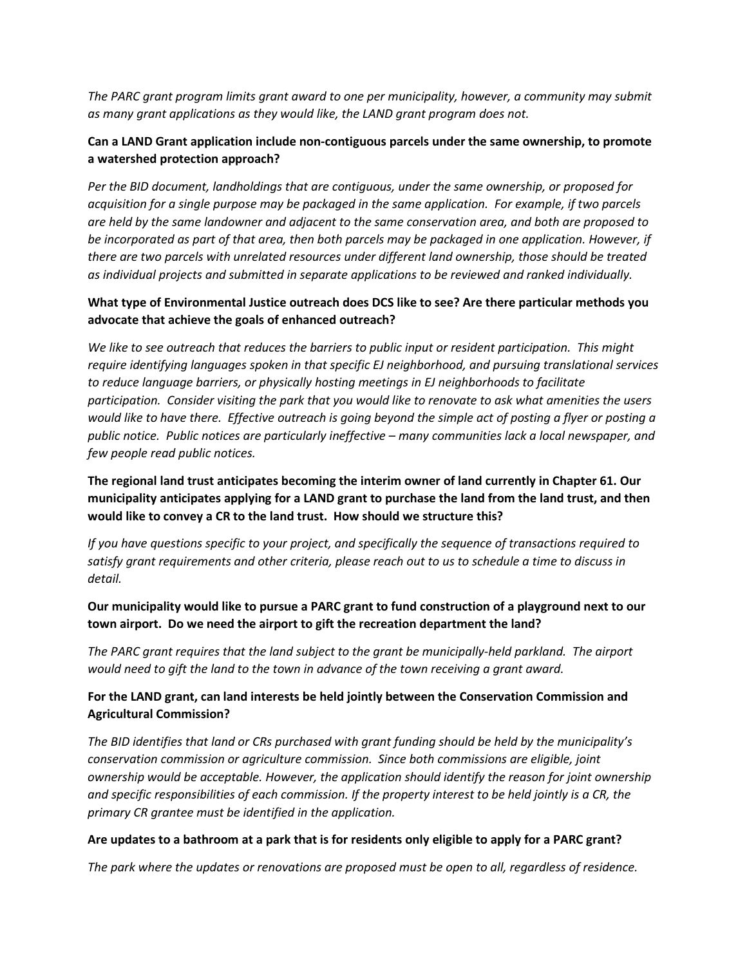*The PARC grant program limits grant award to one per municipality, however, a community may submit as many grant applications as they would like, the LAND grant program does not.* 

# **Can a LAND Grant application include non-contiguous parcels under the same ownership, to promote a watershed protection approach?**

*Per the BID document, landholdings that are contiguous, under the same ownership, or proposed for acquisition for a single purpose may be packaged in the same application. For example, if two parcels are held by the same landowner and adjacent to the same conservation area, and both are proposed to be incorporated as part of that area, then both parcels may be packaged in one application. However, if there are two parcels with unrelated resources under different land ownership, those should be treated as individual projects and submitted in separate applications to be reviewed and ranked individually.*

## **What type of Environmental Justice outreach does DCS like to see? Are there particular methods you advocate that achieve the goals of enhanced outreach?**

*We like to see outreach that reduces the barriers to public input or resident participation. This might require identifying languages spoken in that specific EJ neighborhood, and pursuing translational services to reduce language barriers, or physically hosting meetings in EJ neighborhoods to facilitate participation. Consider visiting the park that you would like to renovate to ask what amenities the users would like to have there. Effective outreach is going beyond the simple act of posting a flyer or posting a public notice. Public notices are particularly ineffective – many communities lack a local newspaper, and few people read public notices.* 

**The regional land trust anticipates becoming the interim owner of land currently in Chapter 61. Our municipality anticipates applying for a LAND grant to purchase the land from the land trust, and then would like to convey a CR to the land trust. How should we structure this?**

*If you have questions specific to your project, and specifically the sequence of transactions required to satisfy grant requirements and other criteria, please reach out to us to schedule a time to discuss in detail.* 

**Our municipality would like to pursue a PARC grant to fund construction of a playground next to our town airport. Do we need the airport to gift the recreation department the land?** 

*The PARC grant requires that the land subject to the grant be municipally-held parkland. The airport would need to gift the land to the town in advance of the town receiving a grant award.* 

# **For the LAND grant, can land interests be held jointly between the Conservation Commission and Agricultural Commission?**

*The BID identifies that land or CRs purchased with grant funding should be held by the municipality's conservation commission or agriculture commission. Since both commissions are eligible, joint ownership would be acceptable. However, the application should identify the reason for joint ownership and specific responsibilities of each commission. If the property interest to be held jointly is a CR, the primary CR grantee must be identified in the application.* 

## **Are updates to a bathroom at a park that is for residents only eligible to apply for a PARC grant?**

*The park where the updates or renovations are proposed must be open to all, regardless of residence.*